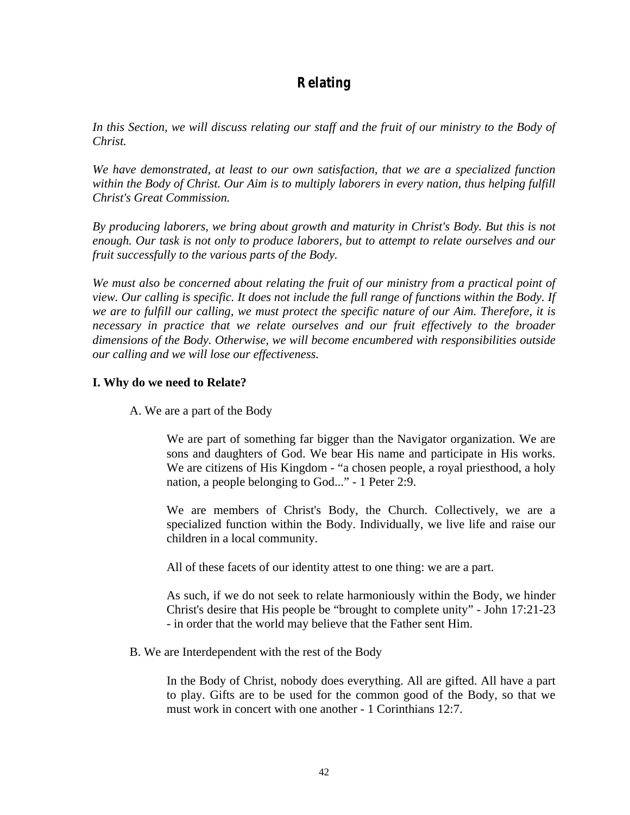# **Relating**

In this Section, we will discuss relating our staff and the fruit of our ministry to the Body of *Christ.* 

*We have demonstrated, at least to our own satisfaction, that we are a specialized function within the Body of Christ. Our Aim is to multiply laborers in every nation, thus helping fulfill Christ's Great Commission.* 

*By producing laborers, we bring about growth and maturity in Christ's Body. But this is not enough. Our task is not only to produce laborers, but to attempt to relate ourselves and our fruit successfully to the various parts of the Body.* 

*We must also be concerned about relating the fruit of our ministry from a practical point of view. Our calling is specific. It does not include the full range of functions within the Body. If we are to fulfill our calling, we must protect the specific nature of our Aim. Therefore, it is necessary in practice that we relate ourselves and our fruit effectively to the broader dimensions of the Body. Otherwise, we will become encumbered with responsibilities outside our calling and we will lose our effectiveness.*

# **I. Why do we need to Relate?**

A. We are a part of the Body

We are part of something far bigger than the Navigator organization. We are sons and daughters of God. We bear His name and participate in His works. We are citizens of His Kingdom - "a chosen people, a royal priesthood, a holy nation, a people belonging to God..." - 1 Peter 2:9.

We are members of Christ's Body, the Church. Collectively, we are a specialized function within the Body. Individually, we live life and raise our children in a local community.

All of these facets of our identity attest to one thing: we are a part.

As such, if we do not seek to relate harmoniously within the Body, we hinder Christ's desire that His people be "brought to complete unity" - John 17:21-23 - in order that the world may believe that the Father sent Him.

B. We are Interdependent with the rest of the Body

In the Body of Christ, nobody does everything. All are gifted. All have a part to play. Gifts are to be used for the common good of the Body, so that we must work in concert with one another - 1 Corinthians 12:7.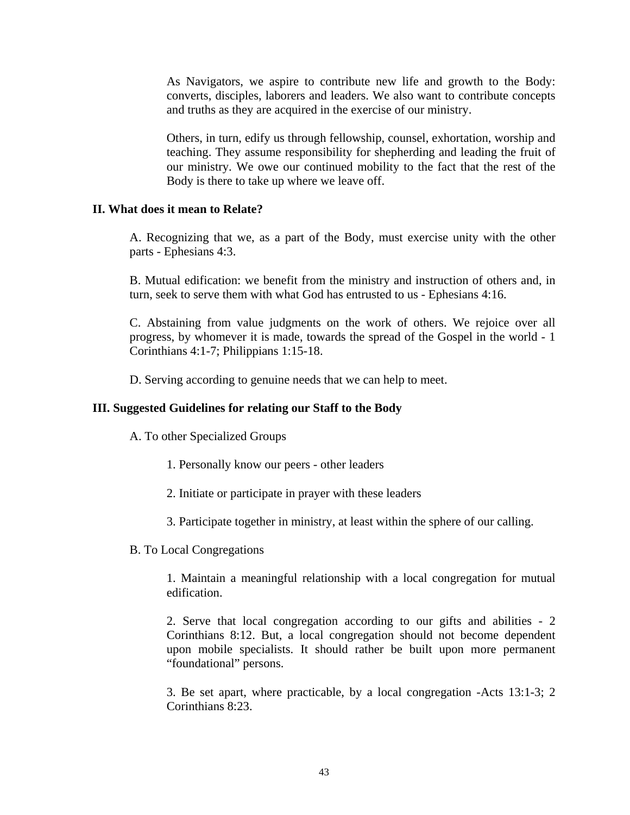As Navigators, we aspire to contribute new life and growth to the Body: converts, disciples, laborers and leaders. We also want to contribute concepts and truths as they are acquired in the exercise of our ministry.

Others, in turn, edify us through fellowship, counsel, exhortation, worship and teaching. They assume responsibility for shepherding and leading the fruit of our ministry. We owe our continued mobility to the fact that the rest of the Body is there to take up where we leave off.

## **II. What does it mean to Relate?**

A. Recognizing that we, as a part of the Body, must exercise unity with the other parts - Ephesians 4:3.

B. Mutual edification: we benefit from the ministry and instruction of others and, in turn, seek to serve them with what God has entrusted to us - Ephesians 4:16.

C. Abstaining from value judgments on the work of others. We rejoice over all progress, by whomever it is made, towards the spread of the Gospel in the world - 1 Corinthians 4:1-7; Philippians 1:15-18.

D. Serving according to genuine needs that we can help to meet.

#### **III. Suggested Guidelines for relating our Staff to the Body**

A. To other Specialized Groups

- 1. Personally know our peers other leaders
- 2. Initiate or participate in prayer with these leaders
- 3. Participate together in ministry, at least within the sphere of our calling.
- B. To Local Congregations

1. Maintain a meaningful relationship with a local congregation for mutual edification.

2. Serve that local congregation according to our gifts and abilities - 2 Corinthians 8:12. But, a local congregation should not become dependent upon mobile specialists. It should rather be built upon more permanent "foundational" persons.

3. Be set apart, where practicable, by a local congregation -Acts 13:1-3; 2 Corinthians 8:23.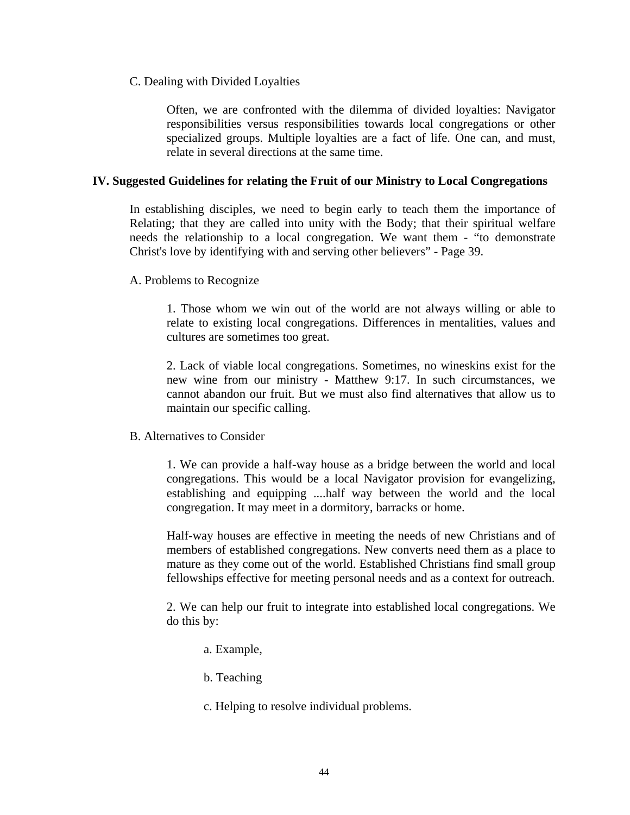C. Dealing with Divided Loyalties

Often, we are confronted with the dilemma of divided loyalties: Navigator responsibilities versus responsibilities towards local congregations or other specialized groups. Multiple loyalties are a fact of life. One can, and must, relate in several directions at the same time.

### **IV. Suggested Guidelines for relating the Fruit of our Ministry to Local Congregations**

In establishing disciples, we need to begin early to teach them the importance of Relating; that they are called into unity with the Body; that their spiritual welfare needs the relationship to a local congregation. We want them - "to demonstrate Christ's love by identifying with and serving other believers" - Page 39.

A. Problems to Recognize

1. Those whom we win out of the world are not always willing or able to relate to existing local congregations. Differences in mentalities, values and cultures are sometimes too great.

2. Lack of viable local congregations. Sometimes, no wineskins exist for the new wine from our ministry - Matthew 9:17. In such circumstances, we cannot abandon our fruit. But we must also find alternatives that allow us to maintain our specific calling.

B. Alternatives to Consider

1. We can provide a half-way house as a bridge between the world and local congregations. This would be a local Navigator provision for evangelizing, establishing and equipping ....half way between the world and the local congregation. It may meet in a dormitory, barracks or home.

Half-way houses are effective in meeting the needs of new Christians and of members of established congregations. New converts need them as a place to mature as they come out of the world. Established Christians find small group fellowships effective for meeting personal needs and as a context for outreach.

2. We can help our fruit to integrate into established local congregations. We do this by:

a. Example,

b. Teaching

c. Helping to resolve individual problems.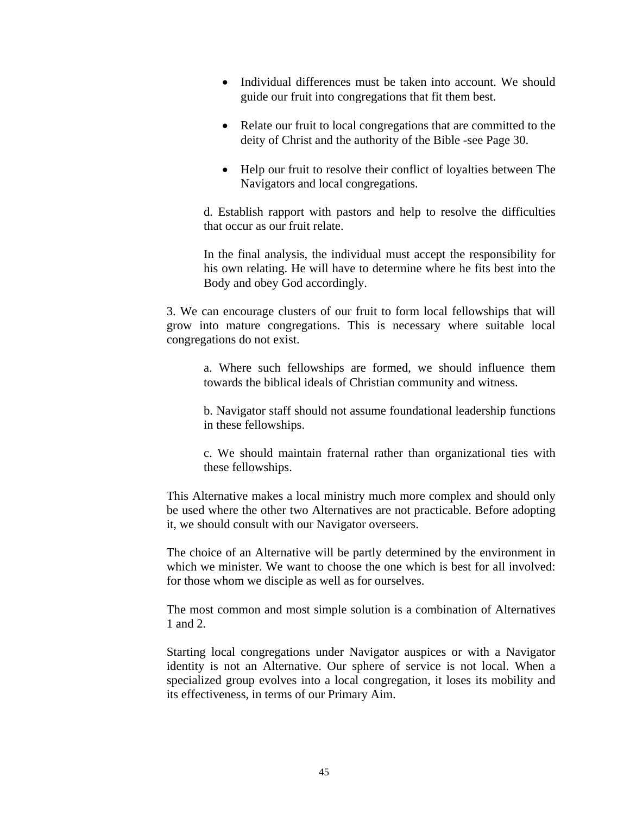- Individual differences must be taken into account. We should guide our fruit into congregations that fit them best.
- Relate our fruit to local congregations that are committed to the deity of Christ and the authority of the Bible -see Page 30.
- Help our fruit to resolve their conflict of loyalties between The Navigators and local congregations.

d. Establish rapport with pastors and help to resolve the difficulties that occur as our fruit relate.

In the final analysis, the individual must accept the responsibility for his own relating. He will have to determine where he fits best into the Body and obey God accordingly.

3. We can encourage clusters of our fruit to form local fellowships that will grow into mature congregations. This is necessary where suitable local congregations do not exist.

a. Where such fellowships are formed, we should influence them towards the biblical ideals of Christian community and witness.

b. Navigator staff should not assume foundational leadership functions in these fellowships.

c. We should maintain fraternal rather than organizational ties with these fellowships.

This Alternative makes a local ministry much more complex and should only be used where the other two Alternatives are not practicable. Before adopting it, we should consult with our Navigator overseers.

The choice of an Alternative will be partly determined by the environment in which we minister. We want to choose the one which is best for all involved: for those whom we disciple as well as for ourselves.

The most common and most simple solution is a combination of Alternatives 1 and 2.

Starting local congregations under Navigator auspices or with a Navigator identity is not an Alternative. Our sphere of service is not local. When a specialized group evolves into a local congregation, it loses its mobility and its effectiveness, in terms of our Primary Aim.